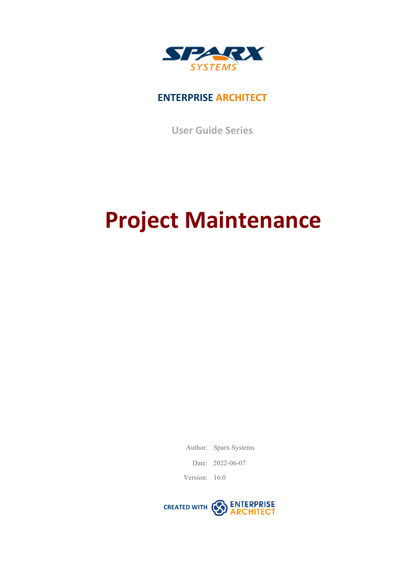

# **ENTERPRISE ARCHITECT**

**User Guide Series**

# **Project Maintenance**

Author: Sparx Systems

Date: 2022-06-07

Version: 16.0

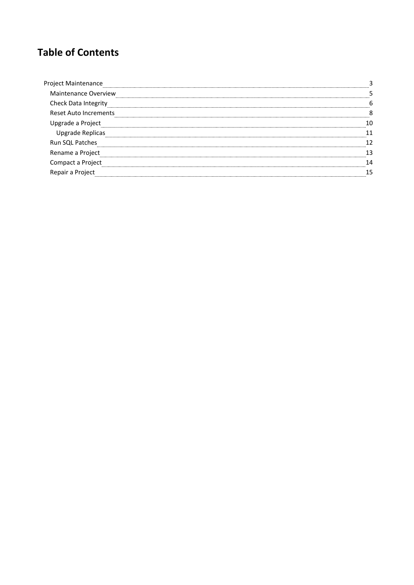# **Table of Contents**

| ct Maintenance               |  |
|------------------------------|--|
| <b>Maintenance Overview</b>  |  |
| Check Data Integrity         |  |
| <b>Reset Auto Increments</b> |  |
| rade a Project,              |  |
| Upgrade Replicas             |  |
| Run SQL Patches              |  |
| Rename a Project             |  |
|                              |  |
|                              |  |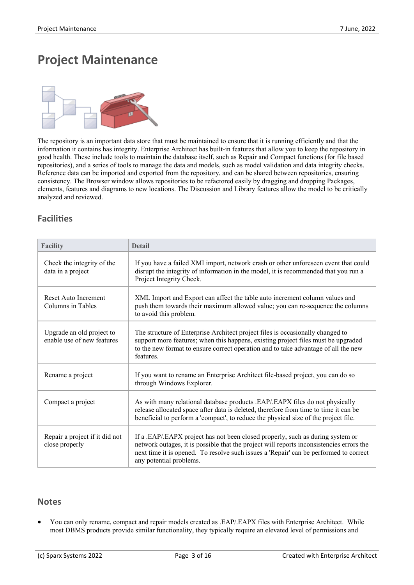# **Project Maintenance**



The repository is an important data store that must be maintained to ensure that it is running efficiently and that the information it contains has integrity. Enterprise Architect has built-in features that allow you to keep the repository in good health. These include tools to maintain the database itself, such as Repair and Compact functions (for file based repositories), and a series of tools to manage the data and models, such as model validation and data integrity checks. Reference data can be imported and exported from the repository, and can be shared between repositories, ensuring consistency. The Browser window allows repositories to be refactored easily by dragging and dropping Packages, elements, features and diagrams to new locations. The Discussion and Library features allow the model to be critically analyzed and reviewed.

# **Facilities**

| <b>Facility</b>                                         | <b>Detail</b>                                                                                                                                                                                                                                                                                  |
|---------------------------------------------------------|------------------------------------------------------------------------------------------------------------------------------------------------------------------------------------------------------------------------------------------------------------------------------------------------|
| Check the integrity of the<br>data in a project         | If you have a failed XMI import, network crash or other unforeseen event that could<br>disrupt the integrity of information in the model, it is recommended that you run a<br>Project Integrity Check.                                                                                         |
| Reset Auto Increment<br>Columns in Tables               | XML Import and Export can affect the table auto increment column values and<br>push them towards their maximum allowed value; you can re-sequence the columns<br>to avoid this problem.                                                                                                        |
| Upgrade an old project to<br>enable use of new features | The structure of Enterprise Architect project files is occasionally changed to<br>support more features; when this happens, existing project files must be upgraded<br>to the new format to ensure correct operation and to take advantage of all the new<br>features.                         |
| Rename a project                                        | If you want to rename an Enterprise Architect file-based project, you can do so<br>through Windows Explorer.                                                                                                                                                                                   |
| Compact a project                                       | As with many relational database products .EAP/.EAPX files do not physically<br>release allocated space after data is deleted, therefore from time to time it can be<br>beneficial to perform a 'compact', to reduce the physical size of the project file.                                    |
| Repair a project if it did not<br>close properly        | If a .EAP/.EAPX project has not been closed properly, such as during system or<br>network outages, it is possible that the project will reports inconsistencies errors the<br>next time it is opened. To resolve such issues a 'Repair' can be performed to correct<br>any potential problems. |

### **Notes**

· You can only rename, compact and repair models created as .EAP/.EAPX files with Enterprise Architect. While most DBMS products provide similar functionality, they typically require an elevated level of permissions and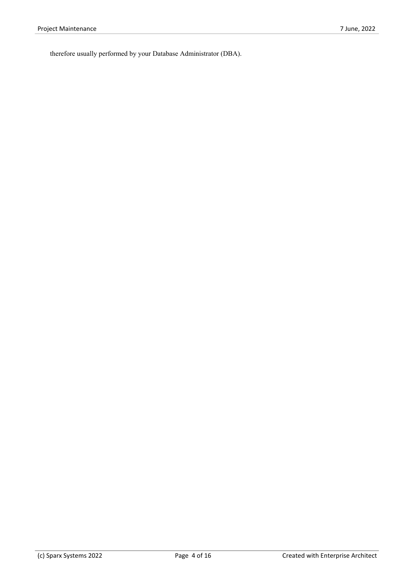therefore usually performed by your Database Administrator (DBA).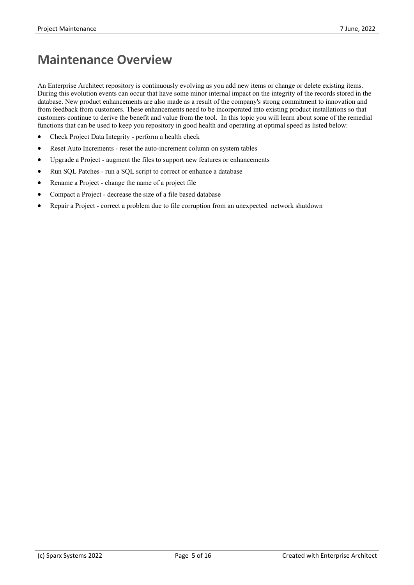# **Maintenance Overview**

An Enterprise Architect repository is continuously evolving as you add new items or change or delete existing items. During this evolution events can occur thathave some minor internal impact on the integrity of the records stored in the database. New product enhancements are also made as a result of the company's strong commitment to innovation and from feedback from customers. These enhancements need to be incorporated into existing product installations so that customers continue to derive the benefit and value from the tool. In this topic you will learn about some of the remedial functions that can be used to keep you repository in good health and operating at optimal speed as listed below:

- Check Project Data Integrity perform a health check
- Reset Auto Increments reset the auto-increment column on system tables
- Upgrade a Project augment the files to support new features or enhancements
- Run SOL Patches run a SOL script to correct or enhance a database
- Rename a Project change the name of a project file
- Compact a Project decrease the size of a file based database
- · Repair a Project correct a problem due to file corruption from an unexpected network shutdown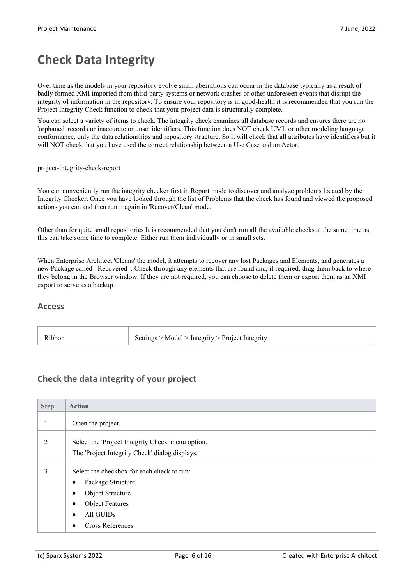# **Check Data Integrity**

Over time as the models in your repository evolve small aberrations can occur in the database typically as a result of badly formed XMI imported from third-party systems or network crashes orother unforeseen events that disrupt the integrity of information in the repository. To ensure yourrepository is in good-health it is recommended that you run the Project Integrity Check function to check that your project data is structurally complete.

You can select a variety of items to check. The integrity check examines all database records and ensures there are no 'orphaned' records orinaccurate or unset identifiers. This function does NOT check UML or other modeling language conformance, only the data relationships and repository structure. So it will check that all attributes have identifiers but it will NOT check that you have used the correct relationship between a Use Case and an Actor.

project-integrity-check-report

You can conveniently run the integrity checker first in Report mode to discover and analyze problems located by the Integrity Checker. Once you have looked through the list of Problems that the check has found and viewed the proposed actions you can and then run it again in 'Recover/Clean' mode.

Other than for quite small repositories It is recommended that you don't run all the available checks at the same time as this can take some time to complete. Either run them individually or in small sets.

When Enterprise Architect 'Cleans' the model, it attempts to recover any lost Packages and Elements, and generates a new Package called Recovered. Check through any elements that are found and, if required, drag them back to where they belong in the Browser window. If they are not required, you can choose to delete them or export them as an XMI export to serve as a backup.

#### **Access**

| Ribbon<br>Settings > Model > Integrity > Project Integrity |  |
|------------------------------------------------------------|--|
|------------------------------------------------------------|--|

### **Check the data integrity of your project**

| <b>Step</b> | <b>Action</b>                                                                                                                                                                         |
|-------------|---------------------------------------------------------------------------------------------------------------------------------------------------------------------------------------|
|             | Open the project.                                                                                                                                                                     |
| 2           | Select the 'Project Integrity Check' menu option.<br>The 'Project Integrity Check' dialog displays.                                                                                   |
| 3           | Select the checkbox for each check to run:<br>Package Structure<br>$\bullet$<br>Object Structure<br>$\bullet$<br><b>Object Features</b><br>All GUIDs<br>$\bullet$<br>Cross References |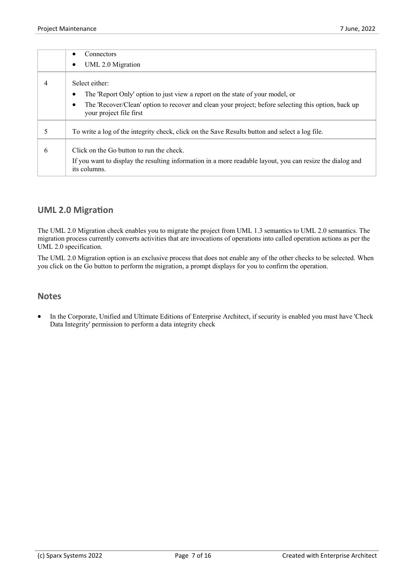|   | Connectors                                                                                                                     |
|---|--------------------------------------------------------------------------------------------------------------------------------|
|   | UML 2.0 Migration                                                                                                              |
|   | Select either:                                                                                                                 |
|   | The 'Report Only' option to just view a report on the state of your model, or                                                  |
|   | The 'Recover/Clean' option to recover and clean your project; before selecting this option, back up<br>your project file first |
| 5 | To write a log of the integrity check, click on the Save Results button and select a log file.                                 |
| 6 | Click on the Go button to run the check.                                                                                       |
|   | If you want to display the resulting information in a more readable layout, you can resize the dialog and<br>its columns.      |

### **UML 2.0 Migration**

The UML 2.0 Migration check enables you to migrate the project from UML 1.3 semantics to UML 2.0 semantics. The migration process currently converts activities that are invocations of operations into called operation actions as per the UML 2.0 specification.

The UML 2.0 Migration option is an exclusive process that does not enable any of the other checks to be selected. When you click on the Go button to perform the migration, a prompt displays for you to confirm the operation.

#### **Notes**

In the Corporate, Unified and Ultimate Editions of Enterprise Architect, if security is enabled you must have 'Check Data Integrity' permission to perform a data integrity check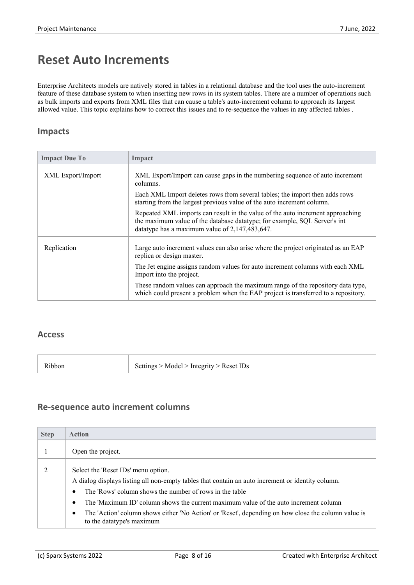# **Reset Auto Increments**

Enterprise Architects models are natively stored in tables in a relational database and the tool uses the auto-increment feature of these database system to when inserting new rows in its system tables. There are a number of operations such as bulk imports and exports from XML files that can cause a table's auto-increment column to approach its largest allowed value. This topic explains how to correct this issues and to re-sequence the values in any affected tables .

### **Impacts**

| <b>Impact Due To</b> | Impact                                                                                                                                                                                                        |
|----------------------|---------------------------------------------------------------------------------------------------------------------------------------------------------------------------------------------------------------|
| XML Export/Import    | XML Export/Import can cause gaps in the numbering sequence of auto increment<br>columns.                                                                                                                      |
|                      | Each XML Import deletes rows from several tables; the import then adds rows<br>starting from the largest previous value of the auto increment column.                                                         |
|                      | Repeated XML imports can result in the value of the auto increment approaching<br>the maximum value of the database datatype; for example, SQL Server's int<br>datatype has a maximum value of 2,147,483,647. |
| Replication          | Large auto increment values can also arise where the project originated as an EAP<br>replica or design master.                                                                                                |
|                      | The Jet engine assigns random values for auto increment columns with each XML<br>Import into the project.                                                                                                     |
|                      | These random values can approach the maximum range of the repository data type,<br>which could present a problem when the EAP project is transferred to a repository.                                         |

### **Access**

| Settings > Model > Integrity > Reset IDs<br>Ribbon |
|----------------------------------------------------|
|----------------------------------------------------|

### **Re-sequence auto increment columns**

| <b>Step</b> | <b>Action</b>                                                                                                                                                |
|-------------|--------------------------------------------------------------------------------------------------------------------------------------------------------------|
|             | Open the project.                                                                                                                                            |
|             | Select the 'Reset IDs' menu option.                                                                                                                          |
|             | A dialog displays listing all non-empty tables that contain an auto increment or identity column.<br>The 'Rows' column shows the number of rows in the table |
|             | The 'Maximum ID' column shows the current maximum value of the auto increment column                                                                         |
|             | The 'Action' column shows either 'No Action' or 'Reset', depending on how close the column value is<br>٠<br>to the datatype's maximum                        |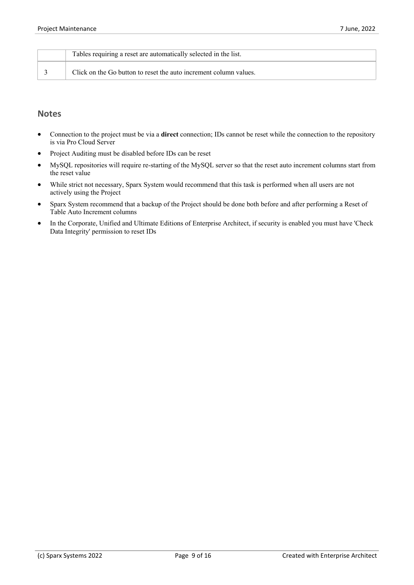| Tables requiring a reset are automatically selected in the list.  |
|-------------------------------------------------------------------|
| Click on the Go button to reset the auto increment column values. |

- · Connection to the project must be via a **direct** connection; IDs cannot be reset while the connection to the repository is via Pro Cloud Server
- Project Auditing must be disabled before IDs can be reset
- MySQL repositories will require re-starting of the MySQL server so that the reset auto increment columns start from the reset value
- · While strict not necessary, Sparx System would recommend that this task is performed when all users are not actively using the Project
- · Sparx System recommend that a backup of the Project should be done both before and after performing a Reset of Table Auto Increment columns
- In the Corporate, Unified and Ultimate Editions of Enterprise Architect, if security is enabled you must have 'Check Data Integrity' permission to reset IDs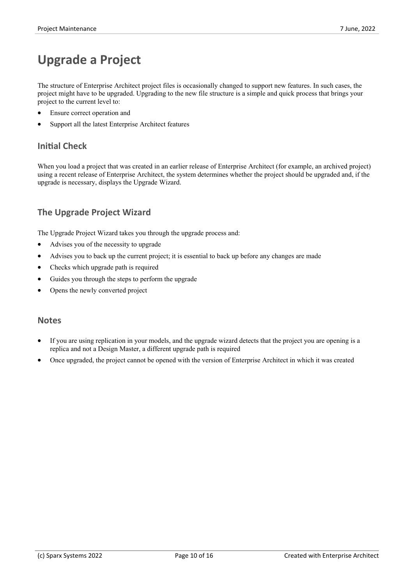# **Upgrade a Project**

The structure of Enterprise Architect project files is occasionally changed to support new features. In such cases, the project might have to be upgraded. Upgrading to the new file structure isa simple and quick process that brings your project to the current level to:

- Ensure correct operation and
- Support all the latest Enterprise Architect features

### **Initial Check**

When you load a project that was created in an earlier release of Enterprise Architect (for example, an archived project) using a recent release of Enterprise Architect, the system determines whether the project should be upgraded and, if the upgrade is necessary, displays the Upgrade Wizard.

# **The Upgrade Project Wizard**

The Upgrade Project Wizard takes you through the upgrade process and:

- · Advises you of the necessity to upgrade
- Advises you to back up the current project; it is essential to back up before any changes are made
- Checks which upgrade path is required
- Guides you through the steps to perform the upgrade
- Opens the newly converted project

- If you are using replication in your models, and the upgrade wizard detects that the project you are opening is a replica and not a Design Master, a different upgrade path is required
- · Once upgraded, the project cannot be opened with the version of Enterprise Architect in which it was created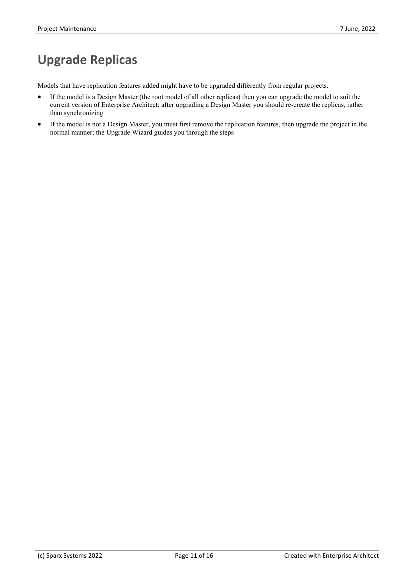# **Upgrade Replicas**

Models that have replication features added might have to be upgraded differently from regular projects.

- If the model is a Design Master (the root model of all other replicas) then you can upgrade the model to suit the current version of Enterprise Architect; after upgrading a Design Master you should re-create the replicas, rather than synchronizing
- · If the model is not a Design Master, you must first remove the replication features, then upgrade the project in the normal manner; the Upgrade Wizard guides you through the steps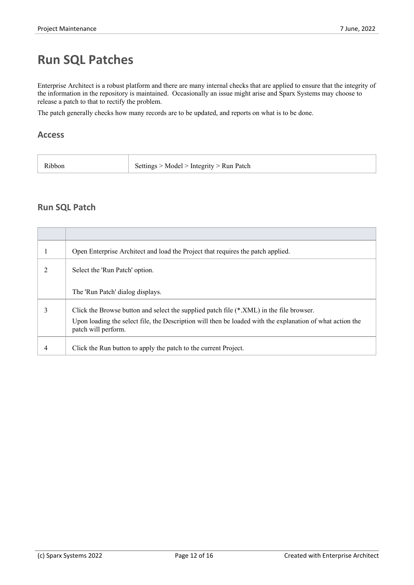# **Run SQL Patches**

Enterprise Architect is a robust platform and there are many internal checks that are applied to ensure that the integrity of the information in the repository is maintained. Occasionally an issue might arise and Sparx Systems may choose to release a patch to that to rectify the problem.

The patch generally checks how many records are to be updated, and reports on what is to be done.

#### **Access**

| Ribbon | Settings > Model > Integrity > Run Patch |
|--------|------------------------------------------|
|        |                                          |

### **Run SQL Patch**

|   | Open Enterprise Architect and load the Project that requires the patch applied.                                                  |
|---|----------------------------------------------------------------------------------------------------------------------------------|
|   | Select the 'Run Patch' option.                                                                                                   |
|   | The 'Run Patch' dialog displays.                                                                                                 |
| 3 | Click the Browse button and select the supplied patch file (*.XML) in the file browser.                                          |
|   | Upon loading the select file, the Description will then be loaded with the explanation of what action the<br>patch will perform. |
| 4 | Click the Run button to apply the patch to the current Project.                                                                  |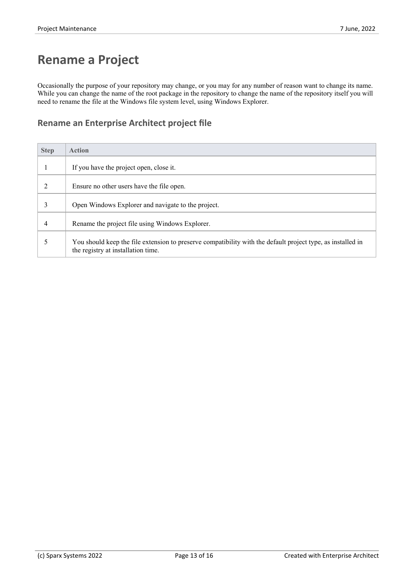# **Rename a Project**

Occasionally the purpose of your repository may change, or you may for any number of reason want to change its name.<br>While you can change the name of the root package in the repository to change the name of the repository need to rename the file at the Windows file system level, using Windows Explorer.

### **Rename an Enterprise Architect project file**

| <b>Step</b> | <b>Action</b>                                                                                                                                     |
|-------------|---------------------------------------------------------------------------------------------------------------------------------------------------|
|             | If you have the project open, close it.                                                                                                           |
| 2           | Ensure no other users have the file open.                                                                                                         |
| 3           | Open Windows Explorer and navigate to the project.                                                                                                |
| 4           | Rename the project file using Windows Explorer.                                                                                                   |
|             | You should keep the file extension to preserve compatibility with the default project type, as installed in<br>the registry at installation time. |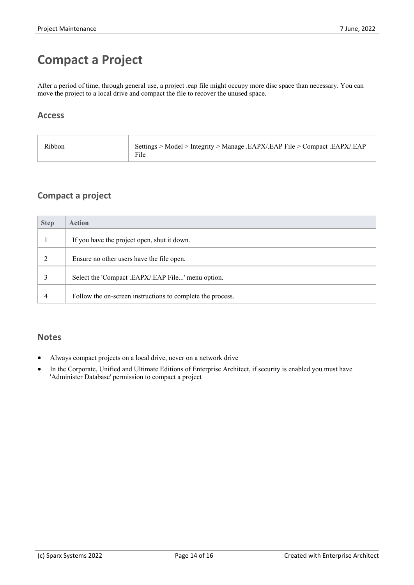# **Compact a Project**

After a period of time, through general use, a project .eap file might occupy more disc space than necessary. You can move the project to a local drive and compact the file to recover the unused space.

### **Access**

| Settings > Model > Integrity > Manage .EAPX/.EAP File > Compact .EAPX/.EAP<br>Ribbon<br>File |
|----------------------------------------------------------------------------------------------|
|----------------------------------------------------------------------------------------------|

# **Compact a project**

| <b>Step</b> | <b>Action</b>                                              |
|-------------|------------------------------------------------------------|
|             | If you have the project open, shut it down.                |
|             | Ensure no other users have the file open.                  |
|             | Select the 'Compact .EAPX/.EAP File' menu option.          |
| 4           | Follow the on-screen instructions to complete the process. |

- Always compact projects on a local drive, never on a network drive
- In the Corporate, Unified and Ultimate Editions of Enterprise Architect, if security is enabled you must have 'Administer Database' permission to compact a project